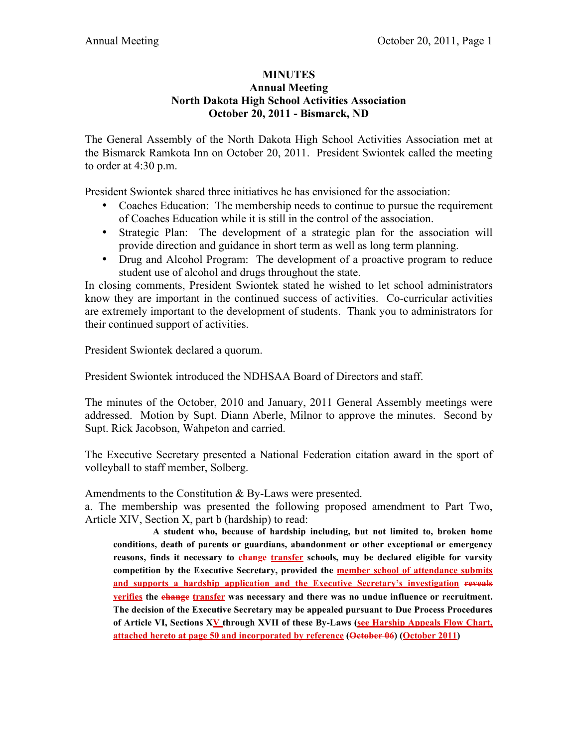## **MINUTES Annual Meeting North Dakota High School Activities Association October 20, 2011 - Bismarck, ND**

The General Assembly of the North Dakota High School Activities Association met at the Bismarck Ramkota Inn on October 20, 2011. President Swiontek called the meeting to order at 4:30 p.m.

President Swiontek shared three initiatives he has envisioned for the association:

- Coaches Education: The membership needs to continue to pursue the requirement of Coaches Education while it is still in the control of the association.
- Strategic Plan: The development of a strategic plan for the association will provide direction and guidance in short term as well as long term planning.
- Drug and Alcohol Program: The development of a proactive program to reduce student use of alcohol and drugs throughout the state.

In closing comments, President Swiontek stated he wished to let school administrators know they are important in the continued success of activities. Co-curricular activities are extremely important to the development of students. Thank you to administrators for their continued support of activities.

President Swiontek declared a quorum.

President Swiontek introduced the NDHSAA Board of Directors and staff.

The minutes of the October, 2010 and January, 2011 General Assembly meetings were addressed. Motion by Supt. Diann Aberle, Milnor to approve the minutes. Second by Supt. Rick Jacobson, Wahpeton and carried.

The Executive Secretary presented a National Federation citation award in the sport of volleyball to staff member, Solberg.

Amendments to the Constitution & By-Laws were presented.

a. The membership was presented the following proposed amendment to Part Two, Article XIV, Section X, part b (hardship) to read:

**A student who, because of hardship including, but not limited to, broken home conditions, death of parents or guardians, abandonment or other exceptional or emergency**  reasons, finds it necessary to change transfer schools, may be declared eligible for varsity **competition by the Executive Secretary, provided the member school of attendance submits and supports a hardship application and the Executive Secretary's investigation reveals verifies the change transfer was necessary and there was no undue influence or recruitment. The decision of the Executive Secretary may be appealed pursuant to Due Process Procedures**  of Article VI, Sections XV through XVII of these By-Laws (see Harship Appeals Flow Chart, **attached hereto at page 50 and incorporated by reference (October 06) (October 2011)**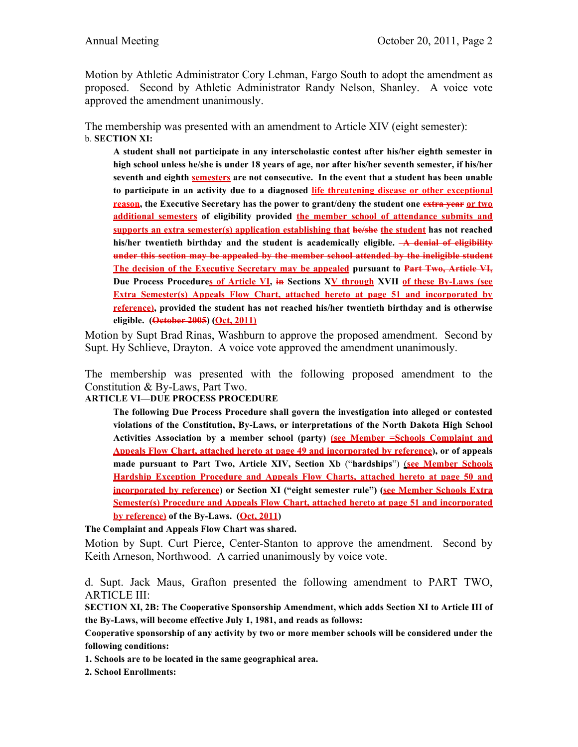Motion by Athletic Administrator Cory Lehman, Fargo South to adopt the amendment as proposed. Second by Athletic Administrator Randy Nelson, Shanley. A voice vote approved the amendment unanimously.

The membership was presented with an amendment to Article XIV (eight semester): b. **SECTION XI:** 

**A student shall not participate in any interscholastic contest after his/her eighth semester in high school unless he/she is under 18 years of age, nor after his/her seventh semester, if his/her seventh and eighth semesters are not consecutive. In the event that a student has been unable to participate in an activity due to a diagnosed life threatening disease or other exceptional reason, the Executive Secretary has the power to grant/deny the student one extra year or two additional semesters of eligibility provided the member school of attendance submits and supports an extra semester(s) application establishing that he/she the student has not reached**  his/her twentieth birthday and the student is academically eligible. **A denial of eligibility under this section may be appealed by the member school attended by the ineligible student The decision of the Executive Secretary may be appealed pursuant to Part Two, Article VI, Due Process Procedures of Article VI, in Sections XV through XVII of these By-Laws (see Extra Semester(s) Appeals Flow Chart, attached hereto at page 51 and incorporated by reference), provided the student has not reached his/her twentieth birthday and is otherwise eligible. (October 2005) (Oct, 2011)**

Motion by Supt Brad Rinas, Washburn to approve the proposed amendment. Second by Supt. Hy Schlieve, Drayton. A voice vote approved the amendment unanimously.

The membership was presented with the following proposed amendment to the Constitution & By-Laws, Part Two.

**ARTICLE VI—DUE PROCESS PROCEDURE**

**The following Due Process Procedure shall govern the investigation into alleged or contested violations of the Constitution, By-Laws, or interpretations of the North Dakota High School Activities Association by a member school (party) (see Member =Schools Complaint and Appeals Flow Chart, attached hereto at page 49 and incorporated by reference), or of appeals made pursuant to Part Two, Article XIV, Section Xb** ("**hardships**") (**see Member Schools Hardship Exception Procedure and Appeals Flow Charts, attached hereto at page 50 and incorporated by reference) or Section XI ("eight semester rule") (see Member Schools Extra Semester(s) Procedure and Appeals Flow Chart, attached hereto at page 51 and incorporated by reference) of the By-Laws. (Oct, 2011)**

**The Complaint and Appeals Flow Chart was shared.**

Motion by Supt. Curt Pierce, Center-Stanton to approve the amendment. Second by Keith Arneson, Northwood. A carried unanimously by voice vote.

d. Supt. Jack Maus, Grafton presented the following amendment to PART TWO, ARTICLE III:

**SECTION XI, 2B: The Cooperative Sponsorship Amendment, which adds Section XI to Article III of the By-Laws, will become effective July 1, 1981, and reads as follows:**

**Cooperative sponsorship of any activity by two or more member schools will be considered under the following conditions:**

**1. Schools are to be located in the same geographical area.**

**2. School Enrollments:**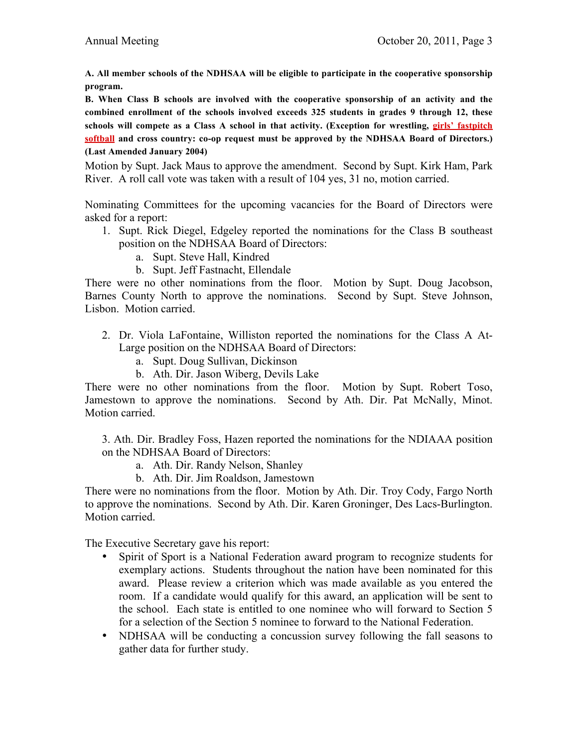**A. All member schools of the NDHSAA will be eligible to participate in the cooperative sponsorship program.**

**B. When Class B schools are involved with the cooperative sponsorship of an activity and the combined enrollment of the schools involved exceeds 325 students in grades 9 through 12, these schools will compete as a Class A school in that activity. (Exception for wrestling, girls' fastpitch softball and cross country: co-op request must be approved by the NDHSAA Board of Directors.) (Last Amended January 2004)**

Motion by Supt. Jack Maus to approve the amendment. Second by Supt. Kirk Ham, Park River. A roll call vote was taken with a result of 104 yes, 31 no, motion carried.

Nominating Committees for the upcoming vacancies for the Board of Directors were asked for a report:

- 1. Supt. Rick Diegel, Edgeley reported the nominations for the Class B southeast position on the NDHSAA Board of Directors:
	- a. Supt. Steve Hall, Kindred
	- b. Supt. Jeff Fastnacht, Ellendale

There were no other nominations from the floor. Motion by Supt. Doug Jacobson, Barnes County North to approve the nominations. Second by Supt. Steve Johnson, Lisbon. Motion carried.

- 2. Dr. Viola LaFontaine, Williston reported the nominations for the Class A At-Large position on the NDHSAA Board of Directors:
	- a. Supt. Doug Sullivan, Dickinson
	- b. Ath. Dir. Jason Wiberg, Devils Lake

There were no other nominations from the floor. Motion by Supt. Robert Toso, Jamestown to approve the nominations. Second by Ath. Dir. Pat McNally, Minot. Motion carried.

3. Ath. Dir. Bradley Foss, Hazen reported the nominations for the NDIAAA position on the NDHSAA Board of Directors:

- a. Ath. Dir. Randy Nelson, Shanley
- b. Ath. Dir. Jim Roaldson, Jamestown

There were no nominations from the floor. Motion by Ath. Dir. Troy Cody, Fargo North to approve the nominations. Second by Ath. Dir. Karen Groninger, Des Lacs-Burlington. Motion carried.

The Executive Secretary gave his report:

- Spirit of Sport is a National Federation award program to recognize students for exemplary actions. Students throughout the nation have been nominated for this award. Please review a criterion which was made available as you entered the room. If a candidate would qualify for this award, an application will be sent to the school. Each state is entitled to one nominee who will forward to Section 5 for a selection of the Section 5 nominee to forward to the National Federation.
- NDHSAA will be conducting a concussion survey following the fall seasons to gather data for further study.